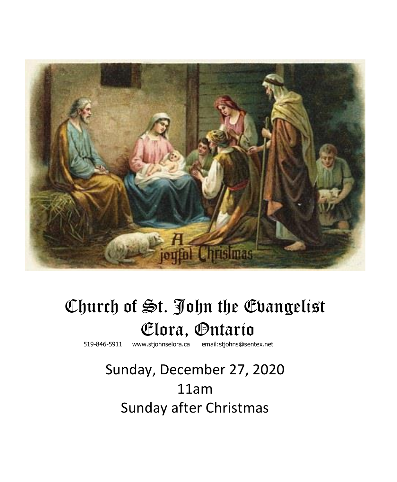

# Church of St. John the Evangelist **Elora**, **Ontario** *www.stiohnselora.ca* **email:stiohns@sent**

519-846-5911 [www.stjohnselora.ca email:stjohns@sentex.net](http://www.stjohnselora.ca%20%20%20%20%20%20email:stjohns@sentex.net)

## Sunday, December 27, 2020 11am Sunday after Christmas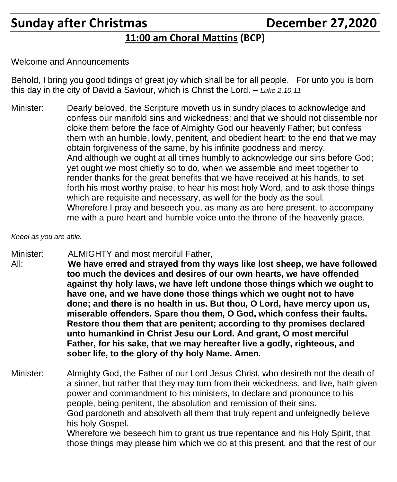### **Sunday after Christmas December 27,2020**

### **11:00 am Choral Mattins (BCP)**

#### Welcome and Announcements

Behold, I bring you good tidings of great joy which shall be for all people. For unto you is born this day in the city of David a Saviour, which is Christ the Lord. – *Luke 2.10,11*

Minister: Dearly beloved, the Scripture moveth us in sundry places to acknowledge and confess our manifold sins and wickedness; and that we should not dissemble nor cloke them before the face of Almighty God our heavenly Father; but confess them with an humble, lowly, penitent, and obedient heart; to the end that we may obtain forgiveness of the same, by his infinite goodness and mercy. And although we ought at all times humbly to acknowledge our sins before God; yet ought we most chiefly so to do, when we assemble and meet together to render thanks for the great benefits that we have received at his hands, to set forth his most worthy praise, to hear his most holy Word, and to ask those things which are requisite and necessary, as well for the body as the soul. Wherefore I pray and beseech you, as many as are here present, to accompany me with a pure heart and humble voice unto the throne of the heavenly grace.

#### *Kneel as you are able.*

Minister: ALMIGHTY and most merciful Father,

All: **We have erred and strayed from thy ways like lost sheep, we have followed too much the devices and desires of our own hearts, we have offended against thy holy laws, we have left undone those things which we ought to have one, and we have done those things which we ought not to have done; and there is no health in us. But thou, O Lord, have mercy upon us, miserable offenders. Spare thou them, O God, which confess their faults. Restore thou them that are penitent; according to thy promises declared unto humankind in Christ Jesu our Lord. And grant, O most merciful Father, for his sake, that we may hereafter live a godly, righteous, and sober life, to the glory of thy holy Name. Amen.**

Minister: Almighty God, the Father of our Lord Jesus Christ, who desireth not the death of a sinner, but rather that they may turn from their wickedness, and live, hath given power and commandment to his ministers, to declare and pronounce to his people, being penitent, the absolution and remission of their sins. God pardoneth and absolveth all them that truly repent and unfeignedly believe his holy Gospel. Wherefore we beseech him to grant us true repentance and his Holy Spirit, that those things may please him which we do at this present, and that the rest of our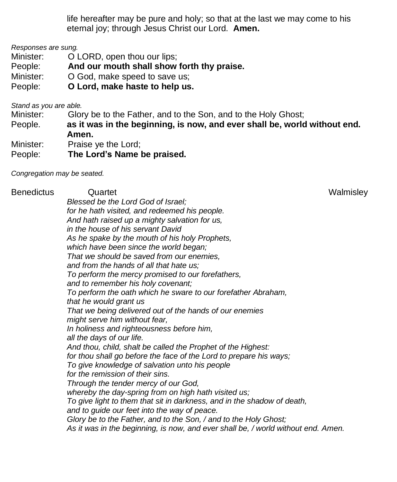life hereafter may be pure and holy; so that at the last we may come to his eternal joy; through Jesus Christ our Lord. **Amen.**

#### *Responses are sung.*

- Minister: **O LORD**, open thou our lips;
- People: **And our mouth shall show forth thy praise.**
- Minister: O God, make speed to save us;
- People: **O Lord, make haste to help us.**

#### *Stand as you are able.*

Minister: Glory be to the Father, and to the Son, and to the Holy Ghost;

- People. **as it was in the beginning, is now, and ever shall be, world without end. Amen.**
- Minister: Praise ye the Lord;
- People: **The Lord's Name be praised.**

#### *Congregation may be seated.*

| Benedictus | Quartet                                                                           | Walmisley |
|------------|-----------------------------------------------------------------------------------|-----------|
|            | Blessed be the Lord God of Israel;                                                |           |
|            | for he hath visited, and redeemed his people.                                     |           |
|            | And hath raised up a mighty salvation for us,                                     |           |
|            | in the house of his servant David                                                 |           |
|            | As he spake by the mouth of his holy Prophets,                                    |           |
|            | which have been since the world began;                                            |           |
|            | That we should be saved from our enemies,                                         |           |
|            | and from the hands of all that hate us;                                           |           |
|            | To perform the mercy promised to our forefathers,                                 |           |
|            | and to remember his holy covenant;                                                |           |
|            | To perform the oath which he sware to our forefather Abraham,                     |           |
|            | that he would grant us                                                            |           |
|            | That we being delivered out of the hands of our enemies                           |           |
|            | might serve him without fear,                                                     |           |
|            | In holiness and righteousness before him,                                         |           |
|            | all the days of our life.                                                         |           |
|            | And thou, child, shalt be called the Prophet of the Highest:                      |           |
|            | for thou shall go before the face of the Lord to prepare his ways;                |           |
|            | To give knowledge of salvation unto his people                                    |           |
|            | for the remission of their sins.                                                  |           |
|            | Through the tender mercy of our God,                                              |           |
|            | whereby the day-spring from on high hath visited us;                              |           |
|            | To give light to them that sit in darkness, and in the shadow of death,           |           |
|            | and to guide our feet into the way of peace.                                      |           |
|            | Glory be to the Father, and to the Son, / and to the Holy Ghost;                  |           |
|            | As it was in the beginning, is now, and ever shall be, / world without end. Amen. |           |
|            |                                                                                   |           |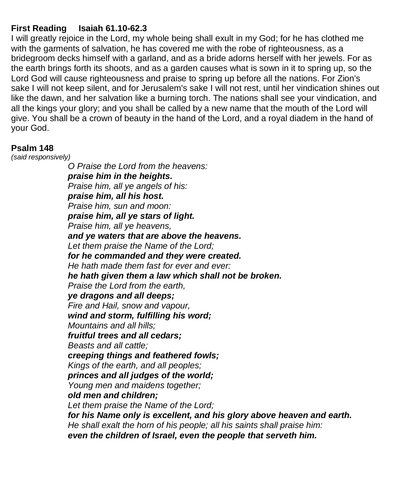#### **First Reading Isaiah 61.10-62.3**

I will greatly rejoice in the Lord, my whole being shall exult in my God; for he has clothed me with the garments of salvation, he has covered me with the robe of righteousness, as a bridegroom decks himself with a garland, and as a bride adorns herself with her jewels. For as the earth brings forth its shoots, and as a garden causes what is sown in it to spring up, so the Lord God will cause righteousness and praise to spring up before all the nations. For Zion's sake I will not keep silent, and for Jerusalem's sake I will not rest, until her vindication shines out like the dawn, and her salvation like a burning torch. The nations shall see your vindication, and all the kings your glory; and you shall be called by a new name that the mouth of the Lord will give. You shall be a crown of beauty in the hand of the Lord, and a royal diadem in the hand of your God.

#### **Psalm 148**

*(said responsively)*

*O Praise the Lord from the heavens: praise him in the heights. Praise him, all ye angels of his: praise him, all his host. Praise him, sun and moon: praise him, all ye stars of light. Praise him, all ye heavens, and ye waters that are above the heavens. Let them praise the Name of the Lord; for he commanded and they were created. He hath made them fast for ever and ever: he hath given them a law which shall not be broken. Praise the Lord from the earth, ye dragons and all deeps; Fire and Hail, snow and vapour, wind and storm, fulfilling his word; Mountains and all hills; fruitful trees and all cedars; Beasts and all cattle; creeping things and feathered fowls; Kings of the earth, and all peoples; princes and all judges of the world; Young men and maidens together; old men and children; Let them praise the Name of the Lord; for his Name only is excellent, and his glory above heaven and earth. He shall exalt the horn of his people; all his saints shall praise him: even the children of Israel, even the people that serveth him.*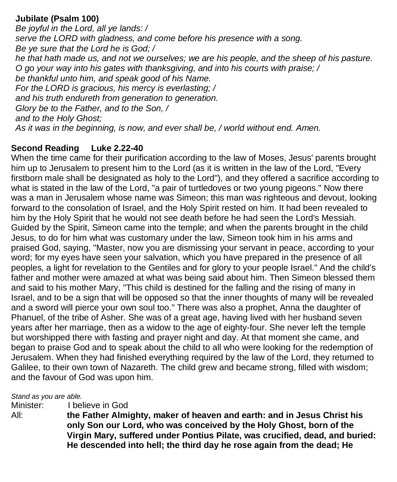#### **Jubilate (Psalm 100)**

*Be joyful in the Lord, all ye lands: / serve the LORD with gladness, and come before his presence with a song. Be ye sure that the Lord he is God; /* he that hath made us, and not we ourselves; we are his people, and the sheep of his pasture. *O go your way into his gates with thanksgiving, and into his courts with praise; / be thankful unto him, and speak good of his Name. For the LORD is gracious, his mercy is everlasting; / and his truth endureth from generation to generation. Glory be to the Father, and to the Son, / and to the Holy Ghost; As it was in the beginning, is now, and ever shall be, / world without end. Amen.*

#### **Second Reading Luke 2.22-40**

When the time came for their purification according to the law of Moses, Jesus' parents brought him up to Jerusalem to present him to the Lord (as it is written in the law of the Lord, "Every firstborn male shall be designated as holy to the Lord"), and they offered a sacrifice according to what is stated in the law of the Lord, "a pair of turtledoves or two young pigeons." Now there was a man in Jerusalem whose name was Simeon; this man was righteous and devout, looking forward to the consolation of Israel, and the Holy Spirit rested on him. It had been revealed to him by the Holy Spirit that he would not see death before he had seen the Lord's Messiah. Guided by the Spirit, Simeon came into the temple; and when the parents brought in the child Jesus, to do for him what was customary under the law, Simeon took him in his arms and praised God, saying, "Master, now you are dismissing your servant in peace, according to your word; for my eyes have seen your salvation, which you have prepared in the presence of all peoples, a light for revelation to the Gentiles and for glory to your people Israel." And the child's father and mother were amazed at what was being said about him. Then Simeon blessed them and said to his mother Mary, "This child is destined for the falling and the rising of many in Israel, and to be a sign that will be opposed so that the inner thoughts of many will be revealed and a sword will pierce your own soul too." There was also a prophet, Anna the daughter of Phanuel, of the tribe of Asher. She was of a great age, having lived with her husband seven years after her marriage, then as a widow to the age of eighty-four. She never left the temple but worshipped there with fasting and prayer night and day. At that moment she came, and began to praise God and to speak about the child to all who were looking for the redemption of Jerusalem. When they had finished everything required by the law of the Lord, they returned to Galilee, to their own town of Nazareth. The child grew and became strong, filled with wisdom; and the favour of God was upon him.

#### *Stand as you are able.*

Minister: I believe in God

All: **the Father Almighty, maker of heaven and earth: and in Jesus Christ his only Son our Lord, who was conceived by the Holy Ghost, born of the Virgin Mary, suffered under Pontius Pilate, was crucified, dead, and buried: He descended into hell; the third day he rose again from the dead; He**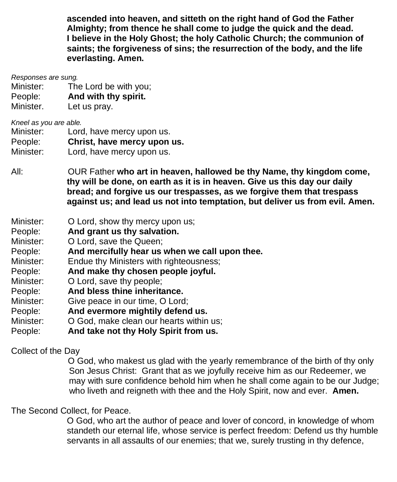**ascended into heaven, and sitteth on the right hand of God the Father Almighty; from thence he shall come to judge the quick and the dead. I believe in the Holy Ghost; the holy Catholic Church; the communion of saints; the forgiveness of sins; the resurrection of the body, and the life everlasting. Amen.**

*Responses are sung.*

- Minister: The Lord be with you;
- People: **And with thy spirit.**
- Minister. Let us pray.

*Kneel as you are able.*

- Minister: Lord, have mercy upon us. People: **Christ, have mercy upon us.** Minister: Lord, have mercy upon us.
- All: OUR Father **who art in heaven, hallowed be thy Name, thy kingdom come, thy will be done, on earth as it is in heaven. Give us this day our daily bread; and forgive us our trespasses, as we forgive them that trespass against us; and lead us not into temptation, but deliver us from evil. Amen.**
- Minister: O Lord, show thy mercy upon us;
- People: **And grant us thy salvation.**
- Minister: O Lord, save the Queen;
- People: **And mercifully hear us when we call upon thee.**
- Minister: Endue thy Ministers with righteousness;
- People: **And make thy chosen people joyful.**
- Minister: O Lord, save thy people;
- People: **And bless thine inheritance.**
- Minister: Give peace in our time, O Lord;
- People: **And evermore mightily defend us.**
- Minister: O God, make clean our hearts within us;
- People: **And take not thy Holy Spirit from us.**

Collect of the Day

O God, who makest us glad with the yearly remembrance of the birth of thy only Son Jesus Christ: Grant that as we joyfully receive him as our Redeemer, we may with sure confidence behold him when he shall come again to be our Judge; who liveth and reigneth with thee and the Holy Spirit, now and ever. **Amen.**

The Second Collect, for Peace.

O God, who art the author of peace and lover of concord, in knowledge of whom standeth our eternal life, whose service is perfect freedom: Defend us thy humble servants in all assaults of our enemies; that we, surely trusting in thy defence,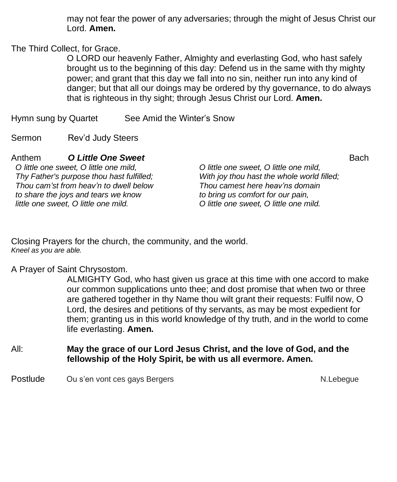may not fear the power of any adversaries; through the might of Jesus Christ our Lord. **Amen.**

The Third Collect, for Grace.

O LORD our heavenly Father, Almighty and everlasting God, who hast safely brought us to the beginning of this day: Defend us in the same with thy mighty power; and grant that this day we fall into no sin, neither run into any kind of danger; but that all our doings may be ordered by thy governance, to do always that is righteous in thy sight; through Jesus Christ our Lord. **Amen.**

Hymn sung by Quartet See Amid the Winter's Snow

Sermon Rev'd Judy Steers

#### Anthem **O Little One Sweet Bach** Bach

*O little one sweet, O little one mild, Thy Father's purpose thou hast fulfilled; Thou cam'st from heav'n to dwell below to share the joys and tears we know little one sweet, O little one mild.*

*O little one sweet, O little one mild, With joy thou hast the whole world filled; Thou camest here heav'ns domain to bring us comfort for our pain, O little one sweet, O little one mild.*

Closing Prayers for the church, the community, and the world. *Kneel as you are able.*

#### A Prayer of Saint Chrysostom.

ALMIGHTY God, who hast given us grace at this time with one accord to make our common supplications unto thee; and dost promise that when two or three are gathered together in thy Name thou wilt grant their requests: Fulfil now, O Lord, the desires and petitions of thy servants, as may be most expedient for them; granting us in this world knowledge of thy truth, and in the world to come life everlasting. **Amen.**

All: **May the grace of our Lord Jesus Christ, and the love of God, and the fellowship of the Holy Spirit, be with us all evermore. Amen.**

Postlude Ou s'en vont ces gays Bergers N.Lebegue N.Lebegue